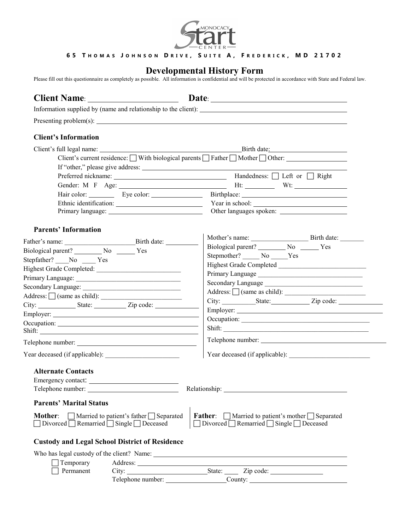

## **6 5 T H O M A S J O H N S O N D R I V E , S U I T E A , F R E D E R I C K , M D 2 1 7 0 2**

## **Developmental History Form**

Please fill out this questionnaire as completely as possible. All information is confidential and will be protected in accordance with State and Federal law.

|                                                                | Information supplied by (name and relationship to the client):                                                                                                                                                                            |
|----------------------------------------------------------------|-------------------------------------------------------------------------------------------------------------------------------------------------------------------------------------------------------------------------------------------|
|                                                                |                                                                                                                                                                                                                                           |
| <b>Client's Information</b>                                    |                                                                                                                                                                                                                                           |
|                                                                |                                                                                                                                                                                                                                           |
|                                                                | Client's current residence: $\Box$ With biological parents $\Box$ Father $\Box$ Mother $\Box$ Other:                                                                                                                                      |
|                                                                | If "other," please give address:                                                                                                                                                                                                          |
|                                                                | Handedness: $\Box$ Left or $\Box$ Right                                                                                                                                                                                                   |
|                                                                |                                                                                                                                                                                                                                           |
|                                                                | Hair color: <u>Simple and Eye color:</u> Simple Birthplace: <u>Simple and Simple and Simple and Simple and Simple and Simple and Simple and Simple and Simple and Simple and Simple and Simple and Simple and Simple and Simple and S</u> |
|                                                                |                                                                                                                                                                                                                                           |
|                                                                | Other languages spoken:                                                                                                                                                                                                                   |
|                                                                |                                                                                                                                                                                                                                           |
| <b>Parents' Information</b>                                    |                                                                                                                                                                                                                                           |
|                                                                | Mother's name: Birth date:                                                                                                                                                                                                                |
| Biological parent? No No Nes                                   | Biological parent? No No Nes                                                                                                                                                                                                              |
| Stepfather? No Yes                                             | Stepmother? No Ves                                                                                                                                                                                                                        |
|                                                                |                                                                                                                                                                                                                                           |
|                                                                |                                                                                                                                                                                                                                           |
|                                                                | Secondary Language                                                                                                                                                                                                                        |
| $Address: \Box$ (same as child): $\Box$                        | Address: $\Box$ (same as child): $\Box$                                                                                                                                                                                                   |
|                                                                |                                                                                                                                                                                                                                           |
|                                                                |                                                                                                                                                                                                                                           |
| Occupation:                                                    | Occupation:                                                                                                                                                                                                                               |
|                                                                |                                                                                                                                                                                                                                           |
| Telephone number:                                              |                                                                                                                                                                                                                                           |
|                                                                |                                                                                                                                                                                                                                           |
| <b>Alternate Contacts</b>                                      |                                                                                                                                                                                                                                           |
|                                                                |                                                                                                                                                                                                                                           |
| Telephone number:                                              |                                                                                                                                                                                                                                           |
| <b>Parents' Marital Status</b>                                 |                                                                                                                                                                                                                                           |
| $\Box$ Married to patient's father $\Box$ Separated<br>Mother: | <b>Father:</b> $\Box$ Married to patient's mother $\Box$ Separated                                                                                                                                                                        |
| □ Divorced □ Remarried □ Single □ Deceased                     | $\Box$ Divorced $\Box$ Remarried $\Box$ Single $\Box$ Deceased                                                                                                                                                                            |
| <b>Custody and Legal School District of Residence</b>          |                                                                                                                                                                                                                                           |
|                                                                |                                                                                                                                                                                                                                           |
| Temporary                                                      | Address: No. 2016. The contract of the contract of the contract of the contract of the contract of the contract of the contract of the contract of the contract of the contract of the contract of the contract of the contrac            |
| Permanent                                                      | City: State: Zip code:                                                                                                                                                                                                                    |
|                                                                | Telephone number: County: County:                                                                                                                                                                                                         |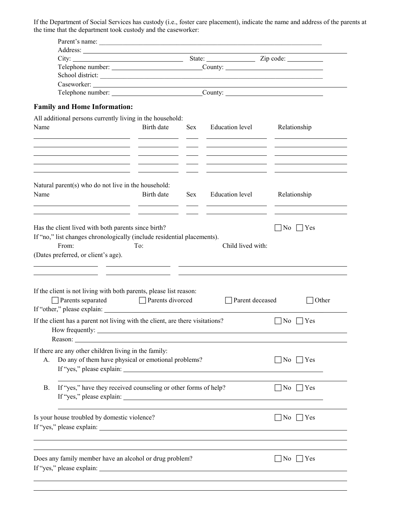If the Department of Social Services has custody (i.e., foster care placement), indicate the name and address of the parents at the time that the department took custody and the caseworker:

|           | Parent's name:                                                                                                                                                                 |                                                                    |     |                   |                         |
|-----------|--------------------------------------------------------------------------------------------------------------------------------------------------------------------------------|--------------------------------------------------------------------|-----|-------------------|-------------------------|
|           |                                                                                                                                                                                |                                                                    |     |                   |                         |
|           |                                                                                                                                                                                |                                                                    |     |                   | State: <u>Zip</u> code: |
|           | Telephone number: County: County:                                                                                                                                              |                                                                    |     |                   |                         |
|           | School district:                                                                                                                                                               |                                                                    |     |                   |                         |
|           |                                                                                                                                                                                |                                                                    |     |                   |                         |
|           |                                                                                                                                                                                |                                                                    |     |                   |                         |
|           | <b>Family and Home Information:</b><br>All additional persons currently living in the household:                                                                               |                                                                    |     |                   |                         |
| Name      |                                                                                                                                                                                | Birth date                                                         | Sex | Education level   | Relationship            |
|           | <u> 1989 - Johann Stoff, Amerikaansk politiker (</u>                                                                                                                           |                                                                    |     |                   |                         |
| Name      | Natural parent(s) who do not live in the household:                                                                                                                            | Birth date                                                         | Sex | Education level   | Relationship            |
|           |                                                                                                                                                                                |                                                                    |     |                   |                         |
|           | Has the client lived with both parents since birth?<br>If "no," list changes chronologically (include residential placements).<br>From:<br>(Dates preferred, or client's age). | To:<br>the control of the control of the control of the control of |     | Child lived with: | No<br>$ $   Yes         |
|           | If the client is not living with both parents, please list reason:<br>Parents separated                                                                                        | $\Box$ Parents divorced                                            |     | Parent deceased   | Other                   |
|           | If the client has a parent not living with the client, are there visitations?<br>How frequently:<br>Reason:                                                                    |                                                                    |     |                   | No<br> Yes              |
| A.        | If there are any other children living in the family:<br>Do any of them have physical or emotional problems?<br>If "yes," please explain:                                      |                                                                    |     |                   | $ No $   Yes            |
| <b>B.</b> | If "yes," have they received counseling or other forms of help?                                                                                                                |                                                                    |     |                   | $\Box$ No $\Box$ Yes    |
|           | Is your house troubled by domestic violence?<br>If "yes," please explain:                                                                                                      |                                                                    |     |                   | $\vert$  No    Yes      |
|           | Does any family member have an alcohol or drug problem?                                                                                                                        |                                                                    |     |                   | $\vert$  No    Yes      |
|           |                                                                                                                                                                                |                                                                    |     |                   |                         |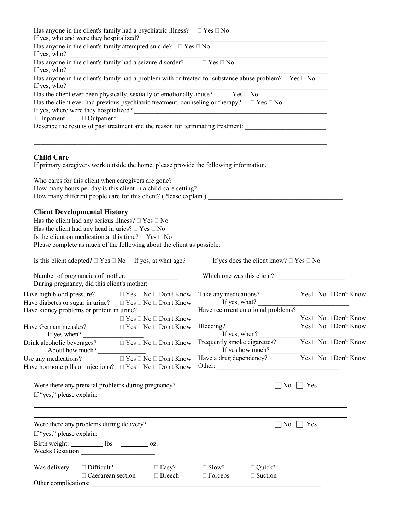| Has anyone in the client's family had a psychiatric illness?                                                                                                                                                                             |        |                             | Yes No                                                                                                                                                  |                                |                   |
|------------------------------------------------------------------------------------------------------------------------------------------------------------------------------------------------------------------------------------------|--------|-----------------------------|---------------------------------------------------------------------------------------------------------------------------------------------------------|--------------------------------|-------------------|
| If yes, who and were they hospitalized?<br>Has anyone in the client's family attempted suicide? Yes No<br>If yes, who? $\frac{1}{\sqrt{1-\frac{1}{2}}\sqrt{1-\frac{1}{2}}\sqrt{1-\frac{1}{2}}\sqrt{1-\frac{1}{2}}\sqrt{1-\frac{1}{2}}}}$ |        |                             |                                                                                                                                                         |                                |                   |
| Has anyone in the client's family had a seizure disorder?<br>If yes, who?                                                                                                                                                                |        |                             | Yes No                                                                                                                                                  |                                |                   |
| If yes, who?                                                                                                                                                                                                                             |        |                             | Has anyone in the client's family had a problem with or treated for substance abuse problem? Yes No                                                     |                                |                   |
| Has the client ever been physically, sexually or emotionally abuse? Yes No                                                                                                                                                               |        |                             | Has the client ever had previous psychiatric treatment, counseling or therapy? Yes No                                                                   |                                |                   |
|                                                                                                                                                                                                                                          |        |                             | If yes, where were they hospitalized?                                                                                                                   |                                |                   |
| Inpatient Outpatient                                                                                                                                                                                                                     |        |                             | Describe the results of past treatment and the reason for terminating treatment:                                                                        |                                |                   |
|                                                                                                                                                                                                                                          |        |                             |                                                                                                                                                         |                                |                   |
| <b>Child Care</b><br>If primary caregivers work outside the home, please provide the following information.                                                                                                                              |        |                             |                                                                                                                                                         |                                |                   |
|                                                                                                                                                                                                                                          |        |                             | Who cares for this client when caregivers are gone?<br><u> </u>                                                                                         |                                |                   |
|                                                                                                                                                                                                                                          |        |                             | How many hours per day is this client in a child-care setting?<br><u>Letting</u> 2<br>How many different people care for this client? (Please explain.) |                                |                   |
| <b>Client Developmental History</b>                                                                                                                                                                                                      |        |                             |                                                                                                                                                         |                                |                   |
| Has the client had any serious illness? Yes No<br>Has the client had any head injuries? Yes No                                                                                                                                           |        |                             |                                                                                                                                                         |                                |                   |
| Is the client on medication at this time? Yes No<br>Please complete as much of the following about the client as possible:                                                                                                               |        |                             |                                                                                                                                                         |                                |                   |
|                                                                                                                                                                                                                                          |        |                             | Is this client adopted? Yes No If yes, at what age? If yes does the client know? Yes No                                                                 |                                |                   |
| Number of pregnancies of mother:<br>During pregnancy, did this client's mother:                                                                                                                                                          |        |                             |                                                                                                                                                         |                                |                   |
| Have high blood pressure?                                                                                                                                                                                                                |        |                             | Yes No Don't Know Take any medications?                                                                                                                 |                                | Yes No Don't Know |
| Have diabetes or sugar in urine? Yes No Don't Know<br>Have kidney problems or protein in urine?                                                                                                                                          |        |                             | If yes, what?<br>Have recurrent emotional problems?                                                                                                     |                                |                   |
|                                                                                                                                                                                                                                          |        | Yes No Don't Know           |                                                                                                                                                         |                                | Yes No Don't Know |
| Have German measles?<br>If yes when?                                                                                                                                                                                                     |        | Yes No Don't Know Bleeding? | If yes, when?                                                                                                                                           |                                | Yes No Don't Know |
| Drink alcoholic beverages?<br>About how much?                                                                                                                                                                                            |        |                             | Yes No Don't Know Frequently smoke cigarettes? Yes No Don't Know<br>If yes how much?                                                                    |                                |                   |
| Use any medications?                                                                                                                                                                                                                     | Yes No | Don't Know<br>Don't Know    | Have a drug dependency? Yes No Don't Know                                                                                                               |                                |                   |
| Have hormone pills or injections?                                                                                                                                                                                                        | Yes No |                             |                                                                                                                                                         |                                |                   |
| Were there any prenatal problems during pregnancy?                                                                                                                                                                                       |        |                             |                                                                                                                                                         | $ No $   Yes                   |                   |
|                                                                                                                                                                                                                                          |        |                             |                                                                                                                                                         |                                |                   |
|                                                                                                                                                                                                                                          |        |                             |                                                                                                                                                         |                                |                   |
| Were there any problems during delivery?                                                                                                                                                                                                 |        |                             |                                                                                                                                                         | $\Box$ No $\Box$<br>$\Box$ Yes |                   |
|                                                                                                                                                                                                                                          |        |                             |                                                                                                                                                         |                                |                   |
| Birth weight: _____________ lbs _____________ oz.<br>Weeks Gestation                                                                                                                                                                     |        |                             |                                                                                                                                                         |                                |                   |
| Was delivery:<br>Difficult?<br>Caesarean section                                                                                                                                                                                         |        | Easy?<br>Breech             | Slow?<br>Quick?<br>Suction<br>Forceps                                                                                                                   |                                |                   |
| Other complications:                                                                                                                                                                                                                     |        |                             |                                                                                                                                                         |                                |                   |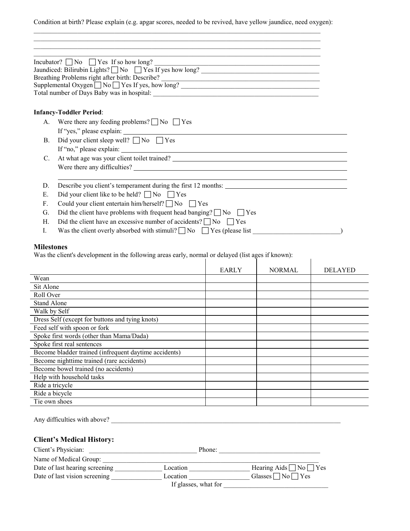Condition at birth? Please explain (e.g. apgar scores, needed to be revived, have yellow jaundice, need oxygen):

 $\_$  , and the state of the state of the state of the state of the state of the state of the state of the state of the state of the state of the state of the state of the state of the state of the state of the state of the  $\_$  , and the state of the state of the state of the state of the state of the state of the state of the state of the state of the state of the state of the state of the state of the state of the state of the state of the

|                | Incubator? $\Box$ No $\Box$ Yes If so how long?<br>Incubator? $\Box$ No $\Box$ Yes If so how long?<br>Jaundiced: Bilirubin Lights? $\Box$ No $\Box$ Yes If yes how long?<br>Supplemental Oxygen □ No □ Yes If yes, how long? _______________________________ |
|----------------|--------------------------------------------------------------------------------------------------------------------------------------------------------------------------------------------------------------------------------------------------------------|
|                | <b>Infancy-Toddler Period:</b>                                                                                                                                                                                                                               |
|                |                                                                                                                                                                                                                                                              |
|                | A. Were there any feeding problems? $\Box$ No $\Box$ Yes                                                                                                                                                                                                     |
|                | If "yes," please explain:                                                                                                                                                                                                                                    |
| $\mathbf{B}$ . | Did your client sleep well? $\Box$ No $\Box$ Yes                                                                                                                                                                                                             |
|                |                                                                                                                                                                                                                                                              |
| $C_{\cdot}$    |                                                                                                                                                                                                                                                              |
|                | Were there any difficulties?                                                                                                                                                                                                                                 |
|                |                                                                                                                                                                                                                                                              |
| D.             | Describe you client's temperament during the first 12 months:                                                                                                                                                                                                |
| Е.             | Did your client like to be held? $\Box$ No $\Box$ Yes                                                                                                                                                                                                        |
| $F_{\cdot}$    | Could your client entertain him/herself? $\Box$ No $\Box$ Yes                                                                                                                                                                                                |
| G.             | Did the client have problems with frequent head banging? $\Box$ No $\Box$ Yes                                                                                                                                                                                |
| H.             | Did the client have an excessive number of accidents? $\Box$ No $\Box$ Yes                                                                                                                                                                                   |
| I.             | Was the client overly absorbed with stimuli? $\Box$ No $\Box$ Yes (please list                                                                                                                                                                               |

## **Milestones**

Was the client's development in the following areas early, normal or delayed (list ages if known):

| was the chem s development in the following areas early, hormal or delayed (itst ages if Known). |              |               |                |
|--------------------------------------------------------------------------------------------------|--------------|---------------|----------------|
|                                                                                                  | <b>EARLY</b> | <b>NORMAL</b> | <b>DELAYED</b> |
| Wean                                                                                             |              |               |                |
| Sit Alone                                                                                        |              |               |                |
| Roll Over                                                                                        |              |               |                |
| <b>Stand Alone</b>                                                                               |              |               |                |
| Walk by Self                                                                                     |              |               |                |
| Dress Self (except for buttons and tying knots)                                                  |              |               |                |
| Feed self with spoon or fork                                                                     |              |               |                |
| Spoke first words (other than Mama/Dada)                                                         |              |               |                |
| Spoke first real sentences                                                                       |              |               |                |
| Become bladder trained (infrequent daytime accidents)                                            |              |               |                |
| Become nighttime trained (rare accidents)                                                        |              |               |                |
| Become bowel trained (no accidents)                                                              |              |               |                |
| Help with household tasks                                                                        |              |               |                |
| Ride a tricycle                                                                                  |              |               |                |
| Ride a bicycle                                                                                   |              |               |                |
| Tie own shoes                                                                                    |              |               |                |
|                                                                                                  |              |               |                |

Any difficulties with above? \_\_\_\_\_\_\_\_\_\_\_\_\_\_\_\_\_\_\_\_\_\_\_\_\_\_\_\_\_\_\_\_\_\_\_\_\_\_\_\_\_\_\_\_\_\_\_\_\_\_\_\_\_\_\_\_\_\_\_\_\_\_\_\_\_\_\_\_

## **Client's Medical History:**

| Client's Physician:            | Phone:               |                                   |
|--------------------------------|----------------------|-----------------------------------|
| Name of Medical Group:         |                      |                                   |
| Date of last hearing screening | Location             | Hearing Aids $\Box$ No $\Box$ Yes |
| Date of last vision screening  | Location             | Glasses $\neg$ No $\neg$ Yes      |
|                                | If glasses, what for |                                   |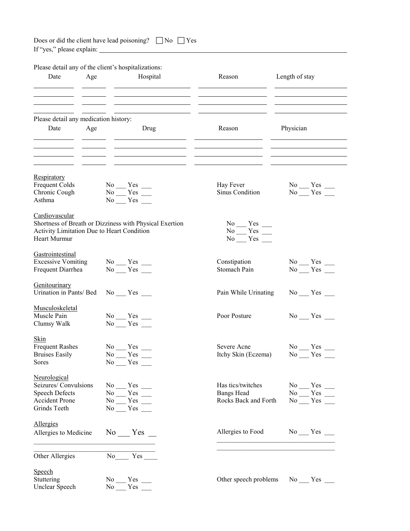| Does or did the client have lead poisoning? $\Box$ No $\Box$ Yes |  |  |
|------------------------------------------------------------------|--|--|
|------------------------------------------------------------------|--|--|

If "yes," please explain:

| Please detail any of the client's hospitalizations:<br>Date<br>Age                                     | Hospital                                                                                                                                      | Reason                                                         | Length of stay                                              |
|--------------------------------------------------------------------------------------------------------|-----------------------------------------------------------------------------------------------------------------------------------------------|----------------------------------------------------------------|-------------------------------------------------------------|
| Please detail any medication history:<br>Date<br>Age                                                   | Drug                                                                                                                                          | Reason                                                         | Physician                                                   |
|                                                                                                        |                                                                                                                                               |                                                                |                                                             |
| Respiratory<br>Frequent Colds<br>Chronic Cough<br>Asthma                                               | $\overset{\text{No}}{\underbrace{\qquad \quad}} \overset{\text{Yes}}{\underbrace{\qquad \quad}} \underbrace{\qquad \quad }$<br>$No$ $Yes$ $T$ | Hay Fever<br>Sinus Condition                                   | $No$ $Yes$ $\_\_$<br>$No$ $Yes$ $Yes$                       |
| Cardiovascular<br>Activity Limitation Due to Heart Condition<br>Heart Murmur                           | Shortness of Breath or Dizziness with Physical Exertion                                                                                       | $No$ $Yes$ $\_\_$<br>$No$ $Yes$ $\_\_$<br>$No$ $Yes$ $\_\_$    |                                                             |
| Gastrointestinal<br><b>Excessive Vomiting</b><br>Frequent Diarrhea                                     | $No$ $Yes$ $\_\_$<br>$No$ $Yes$ $\_\_$                                                                                                        | Constipation<br>Stomach Pain                                   | $No$ $Yes$ $\_\_$<br>$No$ $Yes$                             |
| Genitourinary<br>Urination in Pants/ Bed                                                               | $No$ $Yes$ $\_\_$                                                                                                                             | Pain While Urinating                                           | $No$ $Yes$ $\_\_$                                           |
| Musculoskeletal<br>Muscle Pain<br>Clumsy Walk                                                          | $No$ $Yes$ $\_\_$<br>$No$ $Yes$ $\_\_$                                                                                                        | Poor Posture                                                   | $No$ $Yes$ $\_\_$                                           |
| <b>Skin</b><br><b>Frequent Rashes</b><br><b>Bruises Easily</b><br>Sores                                | N <sub>0</sub><br>Yes<br>N <sub>0</sub><br>Yes<br>$No$ $Yes$ $\_\_$                                                                           | Severe Acne<br>Itchy Skin (Eczema)                             | N <sub>0</sub><br>Yes<br>N <sub>0</sub><br>Yes              |
| Neurological<br>Seizures/Convulsions<br><b>Speech Defects</b><br><b>Accident Prone</b><br>Grinds Teeth | $No$ $Yes$ $\_\_$<br>$No$ $Yes$ $\_\_$<br>$No$ $Yes$ $\overline{\phantom{a}}$<br>$No$ $Yes$ $\_\_$                                            | Has tics/twitches<br><b>Bangs Head</b><br>Rocks Back and Forth | $No$ $Yes$ $\_\_$<br>$No$ $Yes$ $\_\_$<br>$No$ $Yes$ $\_\_$ |
| Allergies<br>Allergies to Medicine                                                                     | $No$ $Yes$ $\Box$                                                                                                                             | Allergies to Food                                              | $No$ $Yes$ $\_\_$                                           |
| Other Allergies                                                                                        | No No                                                                                                                                         |                                                                |                                                             |
| Speech<br>Stuttering<br>Unclear Speech                                                                 | $No$ $Yes$ $\_\_$<br>$No = Yes$                                                                                                               | Other speech problems                                          | $No$ $Yes$ $\_\_$                                           |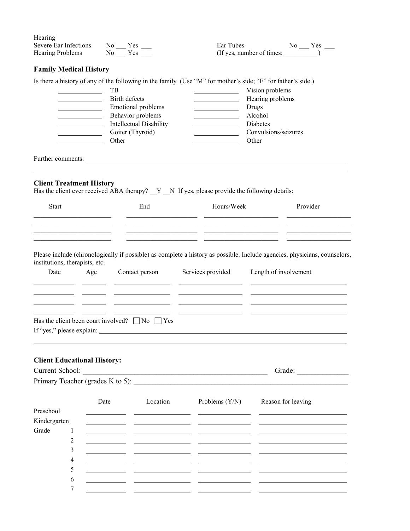| Hearing<br><b>Severe Ear Infections</b><br><b>Hearing Problems</b>                                                                     | $No$ $Yes$ $\_\_$<br>$No$ $Yes$ $\Box$ |                                | Ear Tubes                                                                                                                                                                                                                                                                                                                                                                                                                                                                    |                           | $No$ $Yes$ $\_\_$<br>(If yes, number of times: |  |
|----------------------------------------------------------------------------------------------------------------------------------------|----------------------------------------|--------------------------------|------------------------------------------------------------------------------------------------------------------------------------------------------------------------------------------------------------------------------------------------------------------------------------------------------------------------------------------------------------------------------------------------------------------------------------------------------------------------------|---------------------------|------------------------------------------------|--|
| <b>Family Medical History</b>                                                                                                          |                                        |                                |                                                                                                                                                                                                                                                                                                                                                                                                                                                                              |                           |                                                |  |
|                                                                                                                                        |                                        |                                |                                                                                                                                                                                                                                                                                                                                                                                                                                                                              |                           |                                                |  |
|                                                                                                                                        |                                        |                                | Is there a history of any of the following in the family (Use "M" for mother's side; "F" for father's side.)                                                                                                                                                                                                                                                                                                                                                                 |                           |                                                |  |
|                                                                                                                                        | TB<br>Birth defects                    |                                |                                                                                                                                                                                                                                                                                                                                                                                                                                                                              | Vision problems           |                                                |  |
|                                                                                                                                        |                                        | Emotional problems             |                                                                                                                                                                                                                                                                                                                                                                                                                                                                              | Hearing problems<br>Drugs |                                                |  |
|                                                                                                                                        |                                        | Behavior problems              | <u> 1989 - Johann Barbara, martin a</u><br><u> 1990 - Johann Barbara, politik eta politik eta politik eta politik eta politik eta politik eta politik eta p</u>                                                                                                                                                                                                                                                                                                              | Alcohol                   |                                                |  |
|                                                                                                                                        |                                        | <b>Intellectual Disability</b> |                                                                                                                                                                                                                                                                                                                                                                                                                                                                              | Diabetes                  |                                                |  |
|                                                                                                                                        | Goiter (Thyroid)                       |                                | <u> 1990 - Johann Barbara, politik eta politik eta politik eta politik eta politik eta politik eta politik eta p</u>                                                                                                                                                                                                                                                                                                                                                         | Convulsions/seizures      |                                                |  |
|                                                                                                                                        | Other                                  |                                |                                                                                                                                                                                                                                                                                                                                                                                                                                                                              | Other                     |                                                |  |
|                                                                                                                                        |                                        |                                | Further comments: <u>contract the set of the set of the set of the set of the set of the set of the set of the set of the set of the set of the set of the set of the set of the set of the set of the set of the set of the set</u>                                                                                                                                                                                                                                         |                           |                                                |  |
| <b>Client Treatment History</b>                                                                                                        |                                        |                                | Has the client ever received ABA therapy? $Y_N$ If yes, please provide the following details:                                                                                                                                                                                                                                                                                                                                                                                |                           |                                                |  |
| <b>Start</b>                                                                                                                           |                                        | End                            | Hours/Week                                                                                                                                                                                                                                                                                                                                                                                                                                                                   |                           | Provider                                       |  |
|                                                                                                                                        |                                        |                                |                                                                                                                                                                                                                                                                                                                                                                                                                                                                              |                           |                                                |  |
|                                                                                                                                        |                                        |                                | <u> 1989 - Johann Harry Harry Harry Harry Harry Harry Harry Harry Harry Harry Harry Harry Harry Harry Harry Harry Harry Harry Harry Harry Harry Harry Harry Harry Harry Harry Harry Harry Harry Harry Harry Harry Harry Harry Ha</u><br><u> 1989 - Johann Harry Harry Harry Harry Harry Harry Harry Harry Harry Harry Harry Harry Harry Harry Harry Harry Harry Harry Harry Harry Harry Harry Harry Harry Harry Harry Harry Harry Harry Harry Harry Harry Harry Harry Ha</u> |                           |                                                |  |
| institutions, therapists, etc.<br>Date<br>Age<br>Has the client been court involved? $\Box$ No $\Box$ Yes<br>If "yes," please explain: |                                        | Contact person                 | Services provided                                                                                                                                                                                                                                                                                                                                                                                                                                                            | Length of involvement     |                                                |  |
| <b>Client Educational History:</b>                                                                                                     |                                        |                                |                                                                                                                                                                                                                                                                                                                                                                                                                                                                              |                           |                                                |  |
|                                                                                                                                        |                                        |                                |                                                                                                                                                                                                                                                                                                                                                                                                                                                                              |                           |                                                |  |
|                                                                                                                                        | Date                                   | Location                       | Problems (Y/N) Reason for leaving                                                                                                                                                                                                                                                                                                                                                                                                                                            |                           |                                                |  |
| Preschool                                                                                                                              |                                        |                                |                                                                                                                                                                                                                                                                                                                                                                                                                                                                              |                           |                                                |  |
| Kindergarten                                                                                                                           |                                        |                                |                                                                                                                                                                                                                                                                                                                                                                                                                                                                              |                           |                                                |  |
| Grade<br>1                                                                                                                             |                                        |                                |                                                                                                                                                                                                                                                                                                                                                                                                                                                                              |                           |                                                |  |
|                                                                                                                                        |                                        |                                |                                                                                                                                                                                                                                                                                                                                                                                                                                                                              |                           |                                                |  |
| 2                                                                                                                                      |                                        |                                |                                                                                                                                                                                                                                                                                                                                                                                                                                                                              |                           |                                                |  |
| 3                                                                                                                                      |                                        |                                |                                                                                                                                                                                                                                                                                                                                                                                                                                                                              |                           |                                                |  |
| 4                                                                                                                                      |                                        |                                |                                                                                                                                                                                                                                                                                                                                                                                                                                                                              |                           |                                                |  |
| 5                                                                                                                                      |                                        |                                |                                                                                                                                                                                                                                                                                                                                                                                                                                                                              |                           |                                                |  |
| 6                                                                                                                                      |                                        |                                |                                                                                                                                                                                                                                                                                                                                                                                                                                                                              |                           |                                                |  |
| 7                                                                                                                                      |                                        |                                |                                                                                                                                                                                                                                                                                                                                                                                                                                                                              |                           |                                                |  |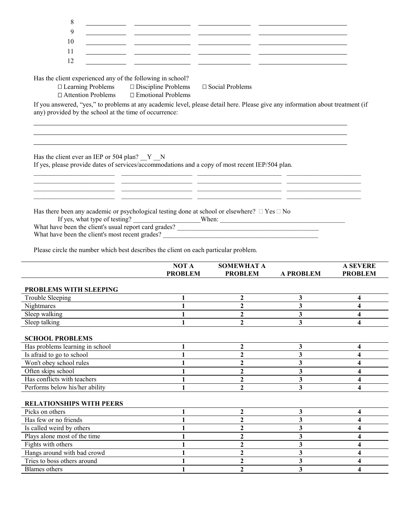| 8                                                                                                                                                                                                                                                                                                                                      |                                                  |                                                                                                                                                                                    |                         |                                   |
|----------------------------------------------------------------------------------------------------------------------------------------------------------------------------------------------------------------------------------------------------------------------------------------------------------------------------------------|--------------------------------------------------|------------------------------------------------------------------------------------------------------------------------------------------------------------------------------------|-------------------------|-----------------------------------|
| 9                                                                                                                                                                                                                                                                                                                                      |                                                  |                                                                                                                                                                                    |                         |                                   |
| 10                                                                                                                                                                                                                                                                                                                                     |                                                  |                                                                                                                                                                                    |                         |                                   |
| 11                                                                                                                                                                                                                                                                                                                                     |                                                  |                                                                                                                                                                                    |                         |                                   |
| 12                                                                                                                                                                                                                                                                                                                                     |                                                  |                                                                                                                                                                                    |                         |                                   |
|                                                                                                                                                                                                                                                                                                                                        |                                                  |                                                                                                                                                                                    |                         |                                   |
| Has the client experienced any of the following in school?<br>Learning Problems<br><b>Attention Problems</b>                                                                                                                                                                                                                           | Discipline Problems<br><b>Emotional Problems</b> | Social Problems                                                                                                                                                                    |                         |                                   |
| If you answered, "yes," to problems at any academic level, please detail here. Please give any information about treatment (if<br>any) provided by the school at the time of occurrence:                                                                                                                                               |                                                  |                                                                                                                                                                                    |                         |                                   |
| Has the client ever an IEP or 504 plan? $Y_N$<br>If yes, please provide dates of services/accommodations and a copy of most recent IEP/504 plan.                                                                                                                                                                                       |                                                  | <u> 1990 - Johann John Stein, mars an deutscher Stein (der Stein und der Stein und der Stein und der Stein und d</u><br><u> 1989 - Johann Stoff, amerikansk politiker (* 1908)</u> |                         |                                   |
| Has there been any academic or psychological testing done at school or elsewhere? Yes No<br>If yes, what type of testing? When: When: What have been the client's usual report card grades?<br>What have been the client's most recent grades?<br>Please circle the number which best describes the client on each particular problem. |                                                  |                                                                                                                                                                                    |                         |                                   |
|                                                                                                                                                                                                                                                                                                                                        |                                                  |                                                                                                                                                                                    |                         |                                   |
|                                                                                                                                                                                                                                                                                                                                        | <b>NOT A</b><br><b>PROBLEM</b>                   | <b>SOMEWHAT A</b><br><b>PROBLEM</b>                                                                                                                                                | <b>A PROBLEM</b>        | <b>A SEVERE</b><br><b>PROBLEM</b> |
| PROBLEMS WITH SLEEPING                                                                                                                                                                                                                                                                                                                 |                                                  |                                                                                                                                                                                    |                         |                                   |
| <b>Trouble Sleeping</b>                                                                                                                                                                                                                                                                                                                | $\mathbf{1}$                                     | $\overline{2}$                                                                                                                                                                     | 3                       | 4                                 |
| Nightmares                                                                                                                                                                                                                                                                                                                             | $\mathbf{1}$                                     | $\boldsymbol{2}$                                                                                                                                                                   | 3                       | $\overline{\mathbf{4}}$           |
| Sleep walking                                                                                                                                                                                                                                                                                                                          | $\mathbf{1}$                                     | $\overline{2}$                                                                                                                                                                     | $\overline{\mathbf{3}}$ | $\overline{\mathbf{4}}$           |
| Sleep talking                                                                                                                                                                                                                                                                                                                          | 1                                                | $\overline{2}$                                                                                                                                                                     | 3                       | 4                                 |
|                                                                                                                                                                                                                                                                                                                                        |                                                  |                                                                                                                                                                                    |                         |                                   |
| <b>SCHOOL PROBLEMS</b>                                                                                                                                                                                                                                                                                                                 |                                                  |                                                                                                                                                                                    |                         |                                   |
| Has problems learning in school                                                                                                                                                                                                                                                                                                        | $\mathbf{1}$                                     | $\overline{2}$<br>$\overline{2}$                                                                                                                                                   | 3<br>3                  | $\overline{\mathbf{4}}$<br>4      |
| Is afraid to go to school                                                                                                                                                                                                                                                                                                              |                                                  | $\boldsymbol{2}$                                                                                                                                                                   | 3                       | 4                                 |
| Won't obey school rules<br>Often skips school                                                                                                                                                                                                                                                                                          |                                                  | $\overline{2}$                                                                                                                                                                     | 3                       | 4                                 |
| Has conflicts with teachers                                                                                                                                                                                                                                                                                                            |                                                  | $\overline{2}$                                                                                                                                                                     | $\mathbf{3}$            | 4                                 |
| Performs below his/her ability                                                                                                                                                                                                                                                                                                         |                                                  | $\overline{2}$                                                                                                                                                                     | 3                       | 4                                 |
| <b>RELATIONSHIPS WITH PEERS</b>                                                                                                                                                                                                                                                                                                        |                                                  |                                                                                                                                                                                    |                         |                                   |
| Picks on others                                                                                                                                                                                                                                                                                                                        |                                                  | $\mathbf{2}$                                                                                                                                                                       | $\mathbf{3}$            | 4                                 |
| Has few or no friends                                                                                                                                                                                                                                                                                                                  |                                                  | $\overline{2}$                                                                                                                                                                     | $\overline{\mathbf{3}}$ | 4                                 |
| Is called weird by others                                                                                                                                                                                                                                                                                                              |                                                  | $\overline{2}$                                                                                                                                                                     | 3                       | 4                                 |
| Plays alone most of the time                                                                                                                                                                                                                                                                                                           |                                                  | $\boldsymbol{2}$                                                                                                                                                                   | 3                       | 4                                 |
| Fights with others                                                                                                                                                                                                                                                                                                                     |                                                  | $\mathbf{2}$                                                                                                                                                                       | 3                       | 4                                 |
| Hangs around with bad crowd                                                                                                                                                                                                                                                                                                            |                                                  | $\mathbf{2}$                                                                                                                                                                       | $\mathbf{3}$            | 4                                 |
| Tries to boss others around<br><b>Blames</b> others                                                                                                                                                                                                                                                                                    |                                                  | $\mathbf{2}$<br>$\overline{2}$                                                                                                                                                     | 3<br>3                  | 4<br>4                            |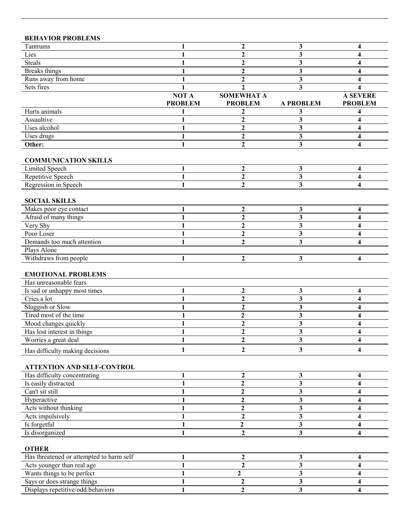| <b>BEHAVIOR PROBLEMS</b>                            |                |                                  |                         |                 |
|-----------------------------------------------------|----------------|----------------------------------|-------------------------|-----------------|
| Tantrums                                            | 1              | $\mathbf{2}$                     | 3                       | 4               |
| Lies                                                |                | $\mathbf{2}$                     | 3                       | 4               |
| <b>Steals</b>                                       | 1              | $\mathbf{2}$                     | 3                       | 4               |
| <b>Breaks</b> things                                | 1              | $\overline{2}$                   | 3                       | 4               |
| Runs away from home                                 |                | $\mathbf{2}$                     | 3                       | 4               |
| Sets fires                                          |                | $\mathbf{2}$                     | 3                       | 4               |
|                                                     | NOT A          | <b>SOMEWHAT A</b>                |                         | <b>A SEVERE</b> |
|                                                     | <b>PROBLEM</b> | <b>PROBLEM</b>                   | <b>A PROBLEM</b>        | <b>PROBLEM</b>  |
| Hurts animals                                       | 1              | 2                                | 3                       | 4               |
| Assaultive                                          | 1              | $\overline{2}$                   | 3                       | 4               |
| Uses alcohol                                        | 1              | $\mathbf{2}$                     | 3                       | 4               |
| Uses drugs                                          | 1              | $\mathbf{2}$                     | 3                       | 4               |
| Other:                                              | 1              | $\overline{2}$                   | $\overline{\mathbf{3}}$ | 4               |
|                                                     |                |                                  |                         |                 |
| <b>COMMUNICATION SKILLS</b>                         |                |                                  |                         |                 |
| Limited Speech                                      | 1              | $\boldsymbol{2}$                 | 3                       | 4               |
| Repetitive Speech                                   | 1              | $\overline{2}$                   | $\overline{\mathbf{3}}$ | 4               |
| Regression in Speech                                | 1              | $\boldsymbol{2}$                 | 3                       | 4               |
| <b>SOCIAL SKILLS</b>                                |                |                                  |                         |                 |
| Makes poor eye contact                              | 1              | 2                                | 3                       | 4               |
| Afraid of many things                               |                | $\overline{2}$                   | 3                       | 4               |
| Very Shy                                            |                | $\overline{2}$                   | 3                       | 4               |
| Poor Loser                                          |                | $\overline{2}$                   | 3                       | 4               |
| Demands too much attention                          |                | $\overline{2}$                   | 3                       | 4               |
| Plays Alone                                         |                |                                  |                         |                 |
| Withdraws from people                               | 1              | 2                                | 3                       | 4               |
| <b>EMOTIONAL PROBLEMS</b><br>Has unreasonable fears |                |                                  |                         |                 |
|                                                     |                |                                  |                         |                 |
| Is sad or unhappy most times<br>Cries a lot         | 1              | $\boldsymbol{2}$<br>$\mathbf{2}$ | 3                       | 4               |
|                                                     |                |                                  | 3                       | 4               |
| Sluggish or Slow<br>Tired most of the time          |                | $\mathbf{2}$<br>$\mathbf{2}$     | 3                       | 4               |
|                                                     | 1              | $\mathbf{2}$                     | 3                       | 4               |
| Mood changes quickly<br>Has lost interest in things |                | $\mathbf{2}$                     | 3<br>3                  | 4<br>4          |
| Worries a great deal                                | 1              | $\mathbf{2}$                     | 3                       | 4               |
|                                                     |                |                                  |                         |                 |
| Has difficulty making decisions                     | 1              | $\mathbf{2}$                     | 3                       | 4               |
| <b>ATTENTION AND SELF-CONTROL</b>                   |                |                                  |                         |                 |
| Has difficulty concentrating                        |                | $\boldsymbol{2}$                 | 3                       | 4               |
| Is easily distracted                                |                | $\overline{2}$                   | 3                       | 4               |
| Can't sit still                                     |                | $\mathbf 2$                      | 3                       | 4               |
| Hyperactive                                         |                | $\mathbf{2}$                     | 3                       | 4               |
| Acts without thinking                               |                | 2                                | 3                       | 4               |
| Acts impulsively                                    |                | 2                                | 3                       | 4               |
| Is forgetful                                        | 1              | $\mathbf{2}$                     | 3                       | 4               |
| Is disorganized                                     | 1              | $\mathbf{2}$                     | 3                       | 4               |
|                                                     |                |                                  |                         |                 |
| <b>OTHER</b>                                        |                |                                  |                         |                 |
| Has threatened or attempted to harm self            | 1              | $\boldsymbol{2}$                 | 3                       | 4               |
| Acts younger than real age                          | 1              | $\overline{2}$                   | 3                       | 4               |
| Wants things to be perfect                          | 1              | $\overline{2}$                   | 3                       | 4               |
| Says or does strange things                         |                | $\overline{\mathbf{c}}$          | 3                       | 4               |
| Displays repetitive/odd behaviors                   | 1              | $\overline{2}$                   | 3                       | 4               |